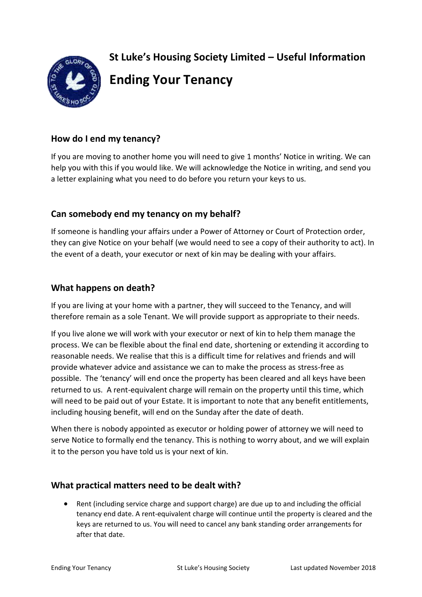**St Luke's Housing Society Limited – Useful Information** 



**Ending Your Tenancy**

# **How do I end my tenancy?**

If you are moving to another home you will need to give 1 months' Notice in writing. We can help you with this if you would like. We will acknowledge the Notice in writing, and send you a letter explaining what you need to do before you return your keys to us.

## **Can somebody end my tenancy on my behalf?**

If someone is handling your affairs under a Power of Attorney or Court of Protection order, they can give Notice on your behalf (we would need to see a copy of their authority to act). In the event of a death, your executor or next of kin may be dealing with your affairs.

## **What happens on death?**

If you are living at your home with a partner, they will succeed to the Tenancy, and will therefore remain as a sole Tenant. We will provide support as appropriate to their needs.

If you live alone we will work with your executor or next of kin to help them manage the process. We can be flexible about the final end date, shortening or extending it according to reasonable needs. We realise that this is a difficult time for relatives and friends and will provide whatever advice and assistance we can to make the process as stress-free as possible. The 'tenancy' will end once the property has been cleared and all keys have been returned to us. A rent-equivalent charge will remain on the property until this time, which will need to be paid out of your Estate. It is important to note that any benefit entitlements, including housing benefit, will end on the Sunday after the date of death.

When there is nobody appointed as executor or holding power of attorney we will need to serve Notice to formally end the tenancy. This is nothing to worry about, and we will explain it to the person you have told us is your next of kin.

### **What practical matters need to be dealt with?**

 Rent (including service charge and support charge) are due up to and including the official tenancy end date. A rent-equivalent charge will continue until the property is cleared and the keys are returned to us. You will need to cancel any bank standing order arrangements for after that date.